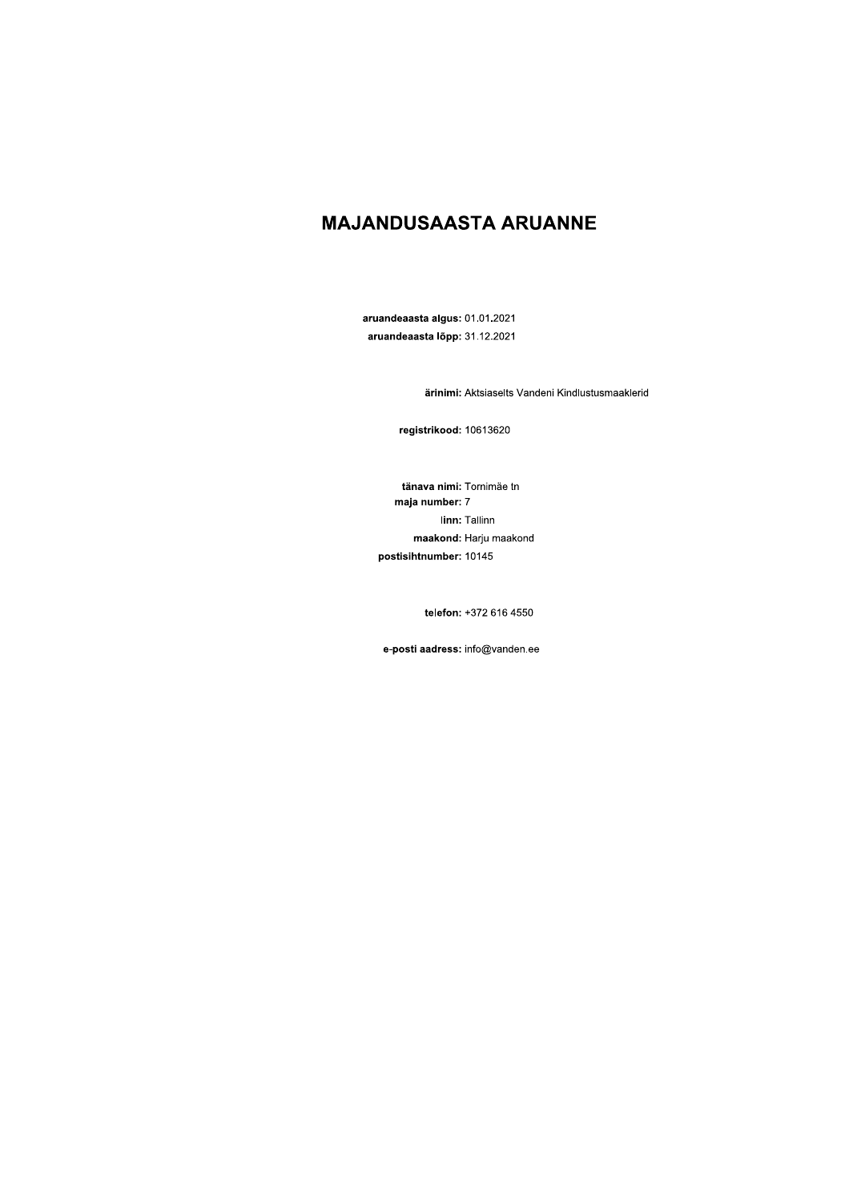# **MAJANDUSAASTA ARUANNE**

aruandeaasta algus: 01.01.2021 aruandeaasta lõpp: 31.12.2021

ärinimi: Aktsiaselts Vandeni Kindlustusmaaklerid

registrikood: 10613620

tänava nimi: Tornimäe tn maja number: 7 linn: Tallinn maakond: Harju maakond postisihtnumber: 10145

telefon: +372 616 4550

e-posti aadress: info@vanden.ee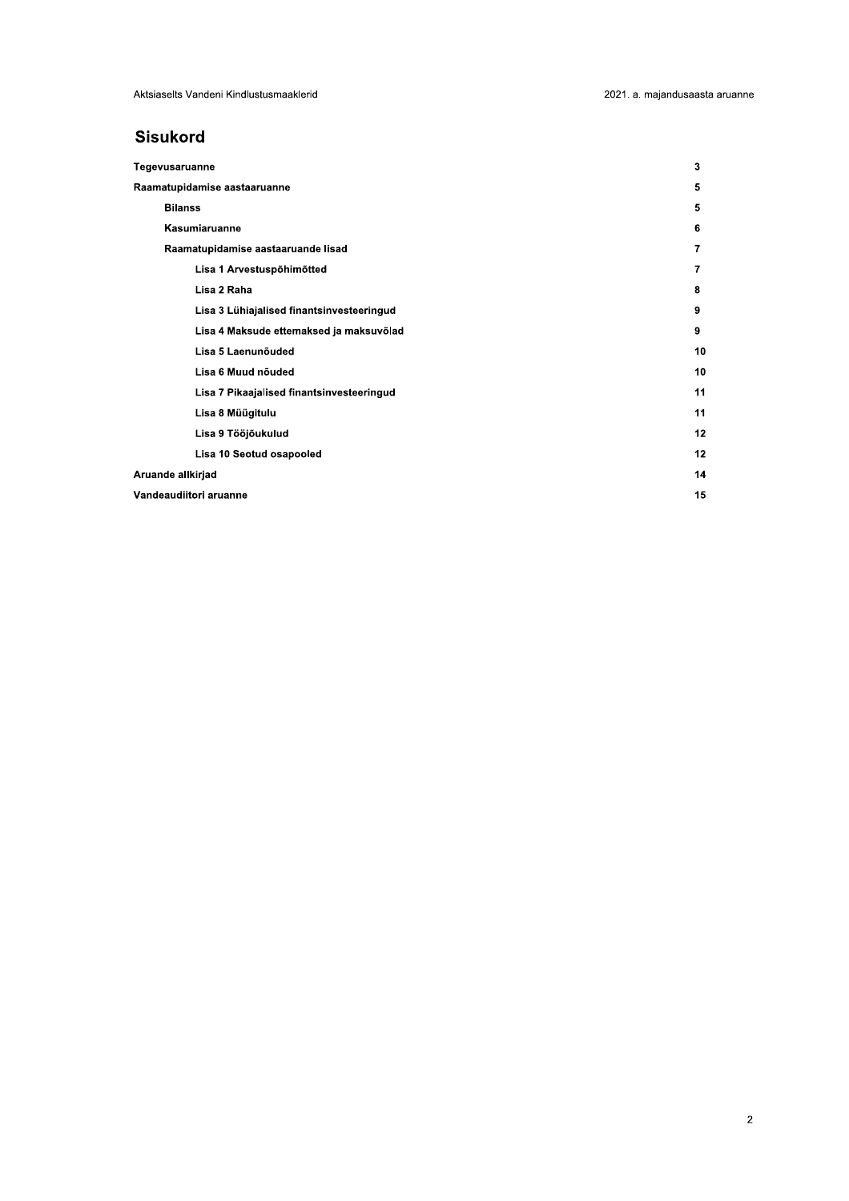# **Sisukord**

| Tegevusaruanne                            | 3  |
|-------------------------------------------|----|
| Raamatupidamise aastaaruanne              | 5  |
| <b>Bilanss</b>                            | 5  |
| Kasumiaruanne                             | 6  |
| Raamatupidamise aastaaruande lisad        | 7  |
| Lisa 1 Arvestuspõhimõtted                 | 7  |
| Lisa 2 Raha                               | 8  |
| Lisa 3 Lühiajalised finantsinvesteeringud | 9  |
| Lisa 4 Maksude ettemaksed ja maksuvõlad   | 9  |
| Lisa 5 Laenunõuded                        | 10 |
| Lisa 6 Muud nõuded                        | 10 |
| Lisa 7 Pikaajalised finantsinvesteeringud | 11 |
| Lisa 8 Müügitulu                          | 11 |
| Lisa 9 Tööjõukulud                        | 12 |
| Lisa 10 Seotud osapooled                  | 12 |
| Aruande allkirjad                         | 14 |
| Vandeaudiitori aruanne                    | 15 |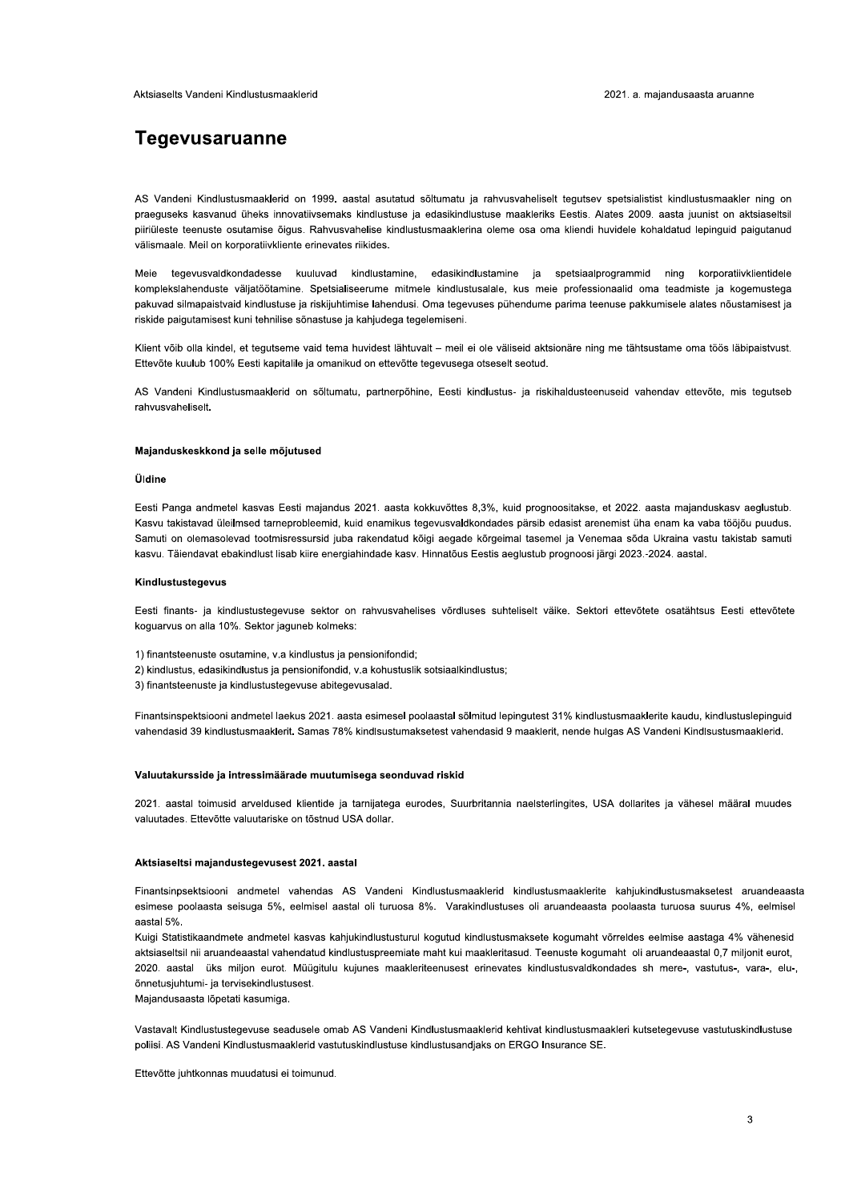# **Tegevusaruanne**

AS Vandeni Kindlustusmaaklerid on 1999. aastal asutatud sõltumatu ja rahvusvaheliselt tegutsev spetsialistist kindlustusmaakler ning on praeguseks kasvanud üheks innovatiivsemaks kindlustuse ja edasikindlustuse maakleriks Eestis. Alates 2009. aasta juunist on aktsiaseltsil piiriüleste teenuste osutamise õigus. Rahvusvahelise kindlustusmaaklerina oleme osa oma kliendi huvidele kohaldatud lepinguid paigutanud välismaale. Meil on korporatiivkliente erinevates riikides.

tegevusvaldkondadesse kuuluvad kindlustamine, edasikindlustamine ja spetsiaalprogrammid ning korporatiivklientidele Meie komplekslahenduste väljatöötamine. Spetsialiseerume mitmele kindlustusalale, kus meie professionaalid oma teadmiste ja kogemustega pakuvad silmapaistvaid kindlustuse ja riskijuhtimise lahendusi. Oma tegevuses pühendume parima teenuse pakkumisele alates nõustamisest ja riskide paigutamisest kuni tehnilise sõnastuse ja kahjudega tegelemiseni.

Klient võib olla kindel, et tegutseme vaid tema huvidest lähtuvalt - meil ei ole väliseid aktsionäre ning me tähtsustame oma töös läbipaistvust. Ettevõte kuulub 100% Eesti kapitalile ja omanikud on ettevõtte tegevusega otseselt seotud.

AS Vandeni Kindlustusmaaklerid on sõltumatu, partnerpõhine, Eesti kindlustus- ja riskihaldusteenuseid vahendav ettevõte, mis tegutseb rahvusvaheliselt.

#### Majanduskeskkond ja selle mõjutused

## **Úldine**

Eesti Panga andmetel kasvas Eesti majandus 2021. aasta kokkuvõttes 8,3%, kuid prognoositakse, et 2022. aasta majanduskasv aeglustub. Kasvu takistavad üleilmsed tarneprobleemid, kuid enamikus tegevusvaldkondades pärsib edasist arenemist üha enam ka vaba tööjõu puudus. Samuti on olemasolevad tootmisressursid juba rakendatud kõigi aegade kõrgeimal tasemel ja Venemaa sõda Ukraina vastu takistab samuti kasvu. Täiendavat ebakindlust lisab kiire energiahindade kasv. Hinnatõus Eestis aeglustub prognoosi järgi 2023.-2024. aastal.

#### Kindlustustegevus

Eesti finants- ja kindlustustegevuse sektor on rahvusvahelises võrdluses suhteliselt väike. Sektori ettevõtete osatähtsus Eesti ettevõtete koguarvus on alla 10%. Sektor jaguneb kolmeks:

- 1) finantsteenuste osutamine, v.a kindlustus ja pensionifondid:
- 2) kindlustus, edasikindlustus ja pensionifondid, va kohustuslik sotsiaalkindlustus;
- 3) finantsteenuste ja kindlustustegevuse abitegevusalad.

Finantsinspektsiooni andmetel laekus 2021. aasta esimesel poolaastal sõlmitud lepingutest 31% kindlustusmaaklerite kaudu, kindlustuslepinguid vahendasid 39 kindlustusmaaklerit. Samas 78% kindlsustumaksetest vahendasid 9 maaklerit, nende hulgas AS Vandeni Kindlsustusmaaklerid.

#### Valuutakursside ja intressimäärade muutumisega seonduvad riskid

2021. aastal toimusid arveldused klientide ja tarnijatega eurodes, Suurbritannia naelsterlingites, USA dollarites ja vähesel määral muudes valuutades. Ettevõtte valuutariske on tõstnud USA dollar.

#### Aktsiaseltsi majandustegevusest 2021. aastal

Finantsinpsektsiooni andmetel vahendas AS Vandeni Kindlustusmaaklerid kindlustusmaaklerite kahjukindlustusmaksetest aruandeaasta esimese poolaasta seisuga 5%, eelmisel aastal oli turuosa 8%. Varakindlustuses oli aruandeaasta poolaasta turuosa suurus 4%, eelmisel aastal 5%

Kuigi Statistikaandmete andmetel kasvas kahjukindlustusturul kogutud kindlustusmaksete kogumaht võrreldes eelmise aastaga 4% vähenesid aktsiaseltsil nii aruandeaastal vahendatud kindlustuspreemiate maht kui maakleritasud. Teenuste kogumaht oli aruandeaastal 0,7 miljonit eurot, 2020. aastal üks miljon eurot. Müügitulu kujunes maakleriteenusest erinevates kindlustusvaldkondades sh mere-, vastutus-, vara-, elu-, õnnetusjuhtumi- ja tervisekindlustusest.

Majandusaasta lõpetati kasumiga.

Vastavalt Kindlustustegevuse seadusele omab AS Vandeni Kindlustusmaaklerid kehtivat kindlustusmaakleri kutsetegevuse vastutuskindlustuse poliisi. AS Vandeni Kindlustusmaaklerid vastutuskindlustuse kindlustusandjaks on ERGO Insurance SE.

Ettevõtte juhtkonnas muudatusi ei toimunud.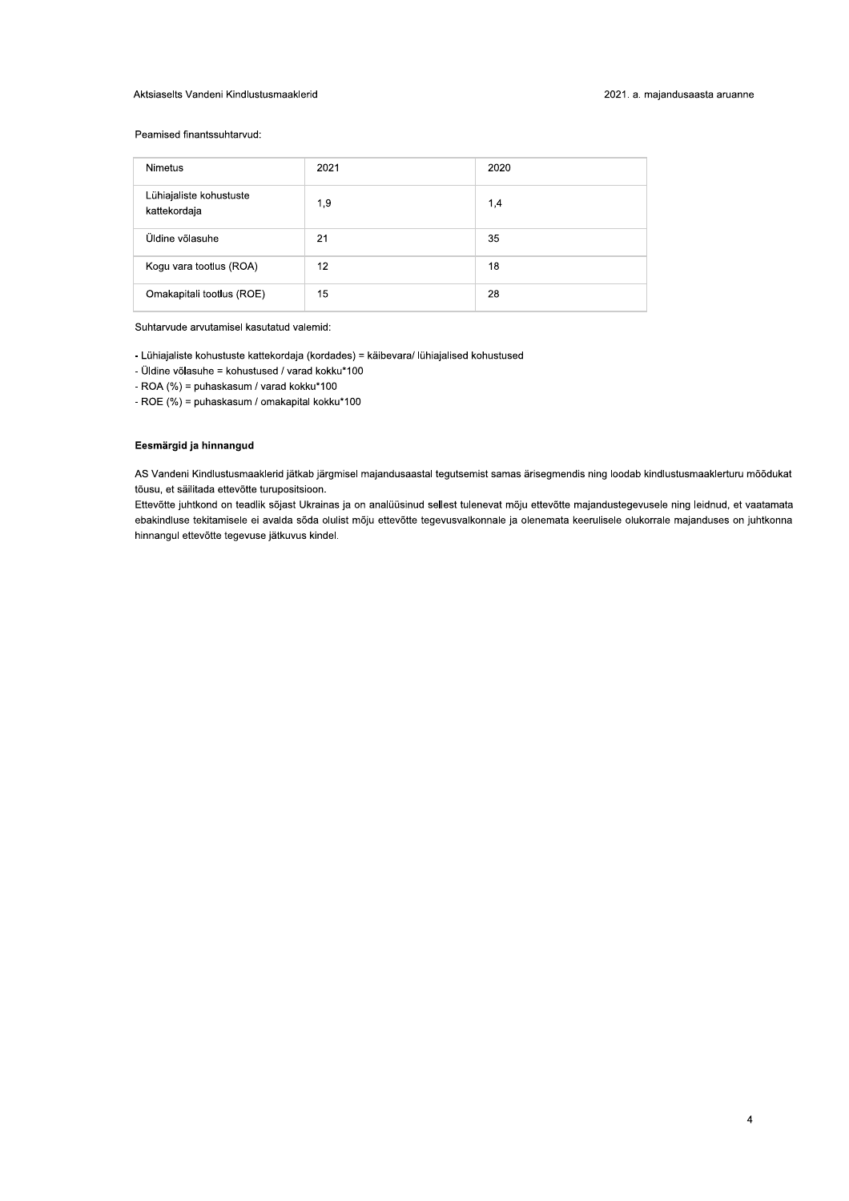# Aktsiaselts Vandeni Kindlustusmaaklerid

# Peamised finantssuhtarvud:

| <b>Nimetus</b>                          | 2021 | 2020 |
|-----------------------------------------|------|------|
| Lühiajaliste kohustuste<br>kattekordaja | 1,9  | 1,4  |
| Üldine võlasuhe                         | 21   | 35   |
| Kogu vara tootlus (ROA)                 | 12   | 18   |
| Omakapitali tootlus (ROE)               | 15   | 28   |

Suhtarvude arvutamisel kasutatud valemid:

- Lühiajaliste kohustuste kattekordaja (kordades) = käibevara/ lühiajalised kohustused

- Üldine võlasuhe = kohustused / varad kokku\*100

- ROA (%) = puhaskasum / varad kokku\*100

- ROE (%) = puhaskasum / omakapital kokku\*100

# Eesmärgid ja hinnangud

AS Vandeni Kindlustusmaaklerid jätkab järgmisel majandusaastal tegutsemist samas ärisegmendis ning loodab kindlustusmaaklerturu mõõdukat tõusu, et säilitada ettevõtte turupositsioon.

Ettevõtte juhtkond on teadlik sõjast Ukrainas ja on analüüsinud sellest tulenevat mõju ettevõtte majandustegevusele ning leidnud, et vaatamata ebakindluse tekitamisele ei avalda sõda olulist mõju ettevõtte tegevusvalkonnale ja olenemata keerulisele olukorrale majanduses on juhtkonna hinnangul ettevõtte tegevuse jätkuvus kindel.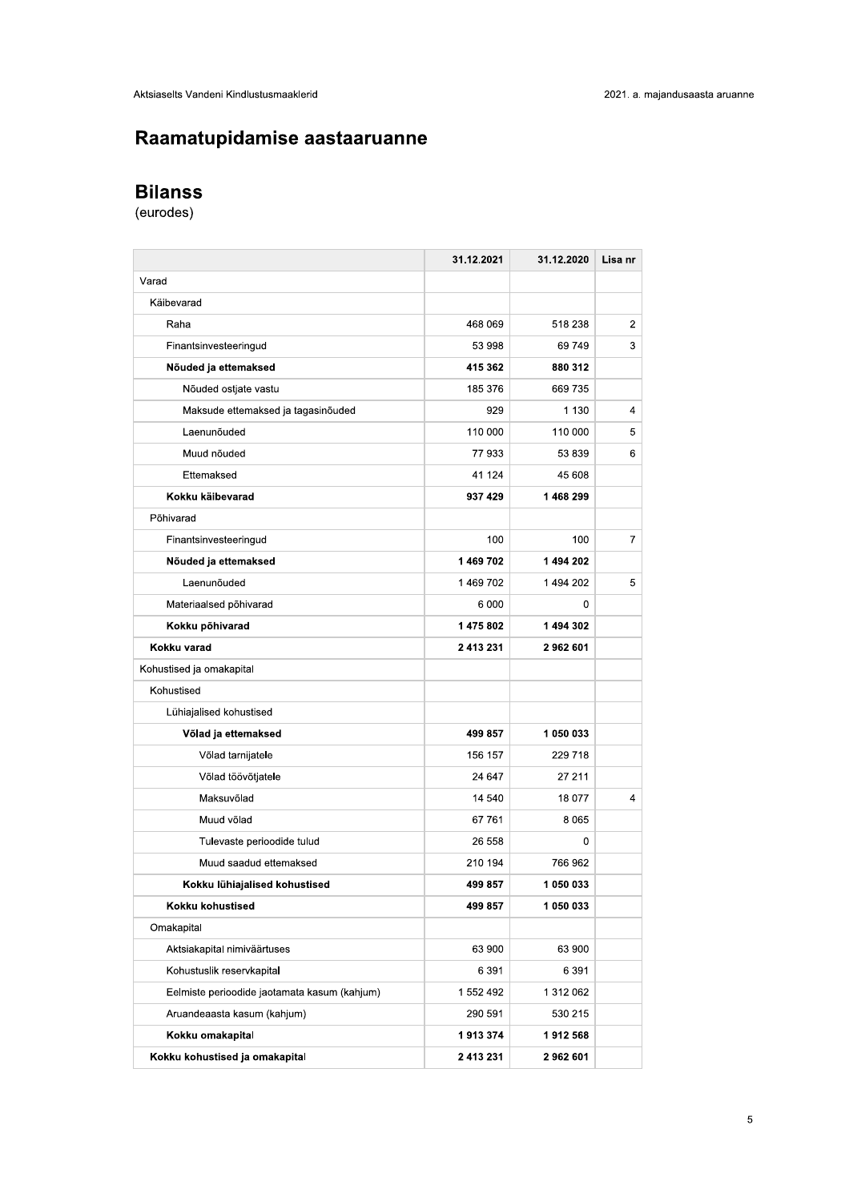# Raamatupidamise aastaaruanne

| Raamatupidamise aastaaruanne                 |            |            |
|----------------------------------------------|------------|------------|
| <b>Bilanss</b>                               |            |            |
| (eurodes)                                    |            |            |
|                                              |            |            |
|                                              | 31.12.2021 | 31.12.2020 |
| Varad                                        |            |            |
| Käibevarad                                   |            |            |
| Raha                                         | 468 069    | 518 238    |
| Finantsinvesteeringud                        | 53 998     | 69749      |
| Nõuded ja ettemaksed                         | 415 362    | 880 312    |
| Nõuded ostjate vastu                         | 185 376    | 669 735    |
| Maksude ettemaksed ja tagasinõuded           | 929        | 1 1 3 0    |
| Laenunõuded                                  | 110 000    | 110 000    |
| Muud nõuded                                  | 77 933     | 53 839     |
| Ettemaksed                                   | 41 124     | 45 608     |
| Kokku käibevarad                             | 937 429    | 1468299    |
| Põhivarad                                    |            |            |
| Finantsinvesteeringud                        | 100        | 100        |
| Nõuded ja ettemaksed                         | 1 469 702  | 1 494 202  |
| Laenunõuded                                  | 1469702    | 1494 202   |
| Materiaalsed põhivarad                       | 6000       |            |
| Kokku põhivarad                              | 1475802    | 1 494 302  |
| Kokku varad                                  | 2 413 231  | 2962601    |
| Kohustised ja omakapital                     |            |            |
| Kohustised                                   |            |            |
| Lühiajalised kohustised                      |            |            |
| Võlad ja ettemaksed                          | 499 857    | 1 050 033  |
| Võlad tarnijatele                            | 156 157    | 229 718    |
| Võlad töövõtjatele                           | 24 647     | 27 211     |
| Maksuvõlad                                   | 14 540     | 18 077     |
| Muud võlad                                   | 67 761     | 8 0 6 5    |
| Tulevaste perioodide tulud                   | 26 558     |            |
| Muud saadud ettemaksed                       | 210 194    | 766 962    |
| Kokku lühiajalised kohustised                | 499 857    | 1 050 033  |
| Kokku kohustised                             | 499 857    | 1 050 033  |
| Omakapital                                   |            |            |
| Aktsiakapital nimiväärtuses                  | 63 900     | 63 900     |
| Kohustuslik reservkapital                    | 6 3 9 1    | 6 3 9 1    |
| Eelmiste perioodide jaotamata kasum (kahjum) | 1 552 492  | 1 312 062  |
| Aruandeaasta kasum (kahjum)                  | 290 591    | 530 215    |
| Kokku omakapital                             | 1913374    | 1912 568   |
| Kokku kohustised ja omakapital               | 2 413 231  | 2962601    |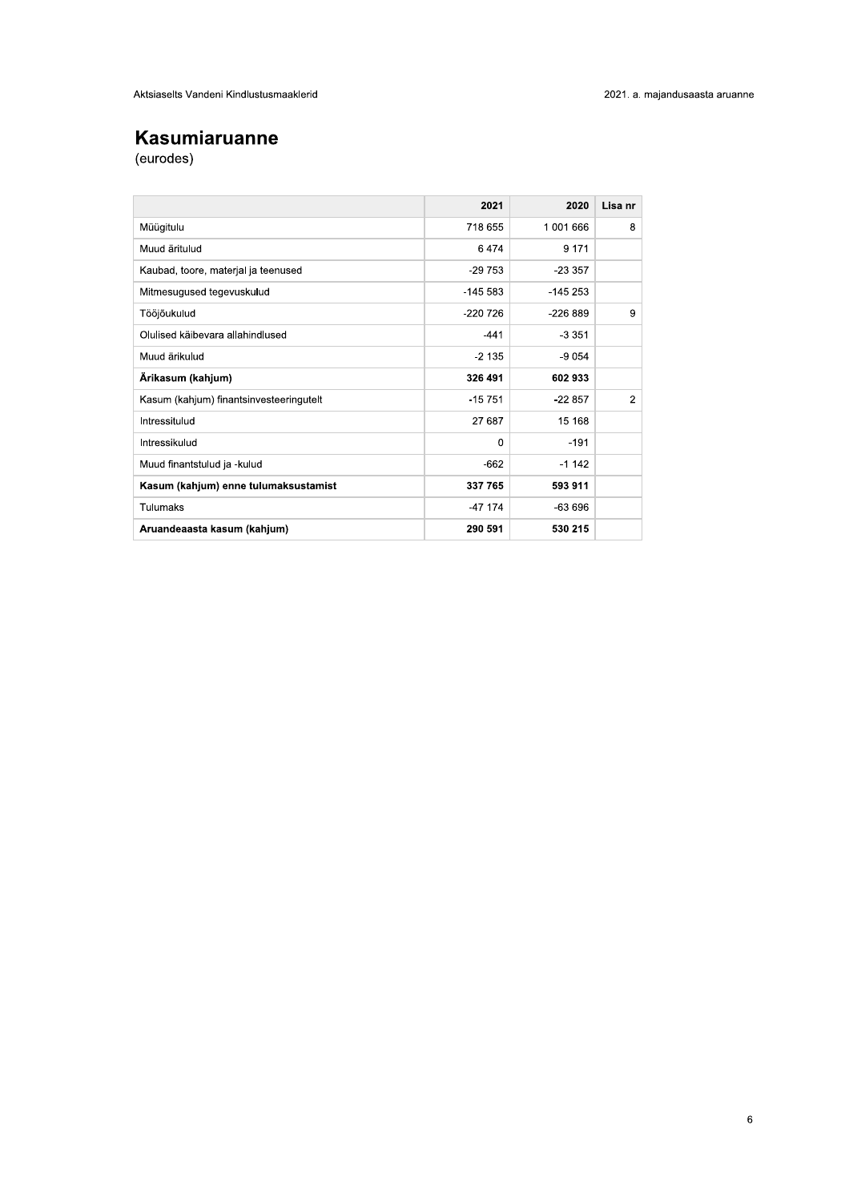# Kasumiaruanne

(eurodes)

|                                         | 2021      | 2020      | Lisa nr        |
|-----------------------------------------|-----------|-----------|----------------|
| Müügitulu                               | 718 655   | 1 001 666 | 8              |
| Muud äritulud                           | 6474      | 9 1 7 1   |                |
| Kaubad, toore, materjal ja teenused     | $-29753$  | $-23.357$ |                |
| Mitmesugused tegevuskulud               | $-14553$  | $-145253$ |                |
| Tööjõukulud                             | $-220726$ | $-226889$ | 9              |
| Olulised käibevara allahindlused        | $-441$    | $-3351$   |                |
| Muud ärikulud                           | $-2135$   | $-9054$   |                |
| Ärikasum (kahjum)                       | 326 491   | 602933    |                |
| Kasum (kahjum) finantsinvesteeringutelt | $-15751$  | $-22857$  | $\overline{2}$ |
| Intressitulud                           | 27 687    | 15 168    |                |
| Intressikulud                           | $\Omega$  | $-191$    |                |
| Muud finantstulud ja -kulud             | $-662$    | $-1142$   |                |
| Kasum (kahjum) enne tulumaksustamist    | 337 765   | 593 911   |                |
| Tulumaks                                | $-47$ 174 | $-63696$  |                |
| Aruandeaasta kasum (kahjum)             | 290 591   | 530 215   |                |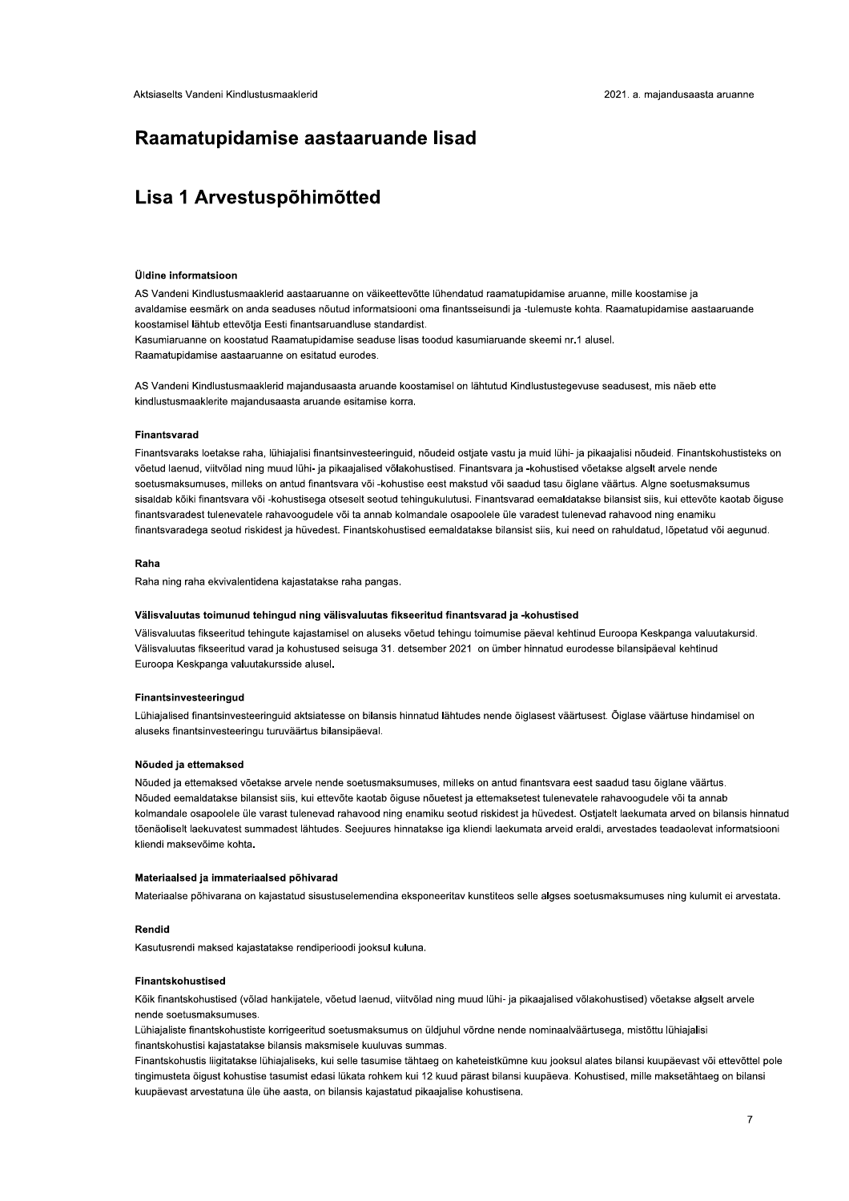# Raamatupidamise aastaaruande lisad

# Lisa 1 Arvestuspõhimõtted

# **Üldine informatsioon**

AS Vandeni Kindlustusmaaklerid aastaaruanne on väikeettevõtte lühendatud raamatupidamise aruanne, mille koostamise ja avaldamise eesmärk on anda seaduses nõutud informatsiooni oma finantsseisundi ja -tulemuste kohta. Raamatupidamise aastaaruande koostamisel lähtub ettevõtja Eesti finantsaruandluse standardist.

Kasumiaruanne on koostatud Raamatupidamise seaduse lisas toodud kasumiaruande skeemi nr.1 alusel. Raamatupidamise aastaaruanne on esitatud eurodes.

AS Vandeni Kindlustusmaaklerid majandusaasta aruande koostamisel on lähtutud Kindlustustegevuse seadusest, mis näeb ette kindlustusmaaklerite majandusaasta aruande esitamise korra.

#### **Finantsvarad**

Finantsvaraks loetakse raha, lühiajalisi finantsinvesteeringuid, nõudeid ostjate vastu ja muid lühi- ja pikaajalisi nõudeid. Finantskohustisteks on võetud laenud, viitvõlad ning muud lühi- ja pikaajalised võlakohustised. Finantsvara ja -kohustised võetakse algselt arvele nende soetusmaksumuses, milleks on antud finantsvara või -kohustise eest makstud või saadud tasu õiglane väärtus. Algne soetusmaksumus sisaldab kõiki finantsvara või -kohustisega otseselt seotud tehingukulutusi. Finantsvarad eemaldatakse bilansist siis, kui ettevõte kaotab õiguse finantsvaradest tulenevatele rahavoogudele või ta annab kolmandale osapoolele üle varadest tulenevad rahavood ning enamiku finantsvaradega seotud riskidest ja hüvedest. Finantskohustised eemaldatakse bilansist siis, kui need on rahuldatud, lõpetatud või aegunud.

### Raha

Raha ning raha ekvivalentidena kajastatakse raha pangas.

### Välisvaluutas toimunud tehingud ning välisvaluutas fikseeritud finantsvarad ja -kohustised

Välisvaluutas fikseeritud tehingute kajastamisel on aluseks võetud tehingu toimumise päeval kehtinud Euroopa Keskpanga valuutakursid. Välisvaluutas fikseeritud varad ja kohustused seisuga 31. detsember 2021 on ümber hinnatud eurodesse bilansipäeval kehtinud Euroopa Keskpanga valuutakursside alusel.

### Finantsinvesteeringud

Lühiajalised finantsinvesteeringuid aktsiatesse on bilansis hinnatud lähtudes nende õiglasest väärtusest. Õiglase väärtuse hindamisel on aluseks finantsinvesteeringu turuväärtus bilansipäeval.

#### Nõuded ja ettemaksed

Nõuded ja ettemaksed võetakse arvele nende soetusmaksumuses, milleks on antud finantsvara eest saadud tasu õiglane väärtus. Nõuded eemaldatakse bilansist siis, kui ettevõte kaotab õjguse nõuetest ja ettemaksetest tulenevatele rahavoogudele või ta annab kolmandale osapoolele üle varast tulenevad rahavood ning enamiku seotud riskidest ja hüvedest. Ostjatelt laekumata arved on bilansis hinnatud tõenäoliselt laekuvatest summadest lähtudes. Seejuures hinnatakse iga kliendi laekumata arveid eraldi, arvestades teadaolevat informatsiooni kliendi maksevõime kohta.

# Materiaalsed ja immateriaalsed põhivarad

Materiaalse põhivarana on kajastatud sisustuselemendina eksponeeritav kunstiteos selle algses soetusmaksumuses ning kulumit ei arvestata.

# Rendid

Kasutusrendi maksed kajastatakse rendiperioodi jooksul kuluna.

# **Finantskohustised**

Kõik finantskohustised (võlad hankijatele, võetud laenud, viitvõlad ning muud lühi- ja pikaajalised võlakohustised) võetakse algselt arvele nende soetusmaksumuses.

Lühiajaliste finantskohustiste korrigeeritud soetusmaksumus on üldiuhul võrdne nende nominaalväärtusega, mistõttu lühiajalisi finantskohustisi kajastatakse bilansis maksmisele kuuluvas summas.

Finantskohustis liigitatakse lühiajaliseks, kui selle tasumise tähtaeg on kaheteistkümne kuu jooksul alates bilansi kuupäevast või ettevõttel pole tingimusteta õigust kohustise tasumist edasi lükata rohkem kui 12 kuud pärast bilansi kuupäeva. Kohustised, mille maksetähtaeg on bilansi kuupäevast arvestatuna üle ühe aasta, on bilansis kajastatud pikaajalise kohustisena.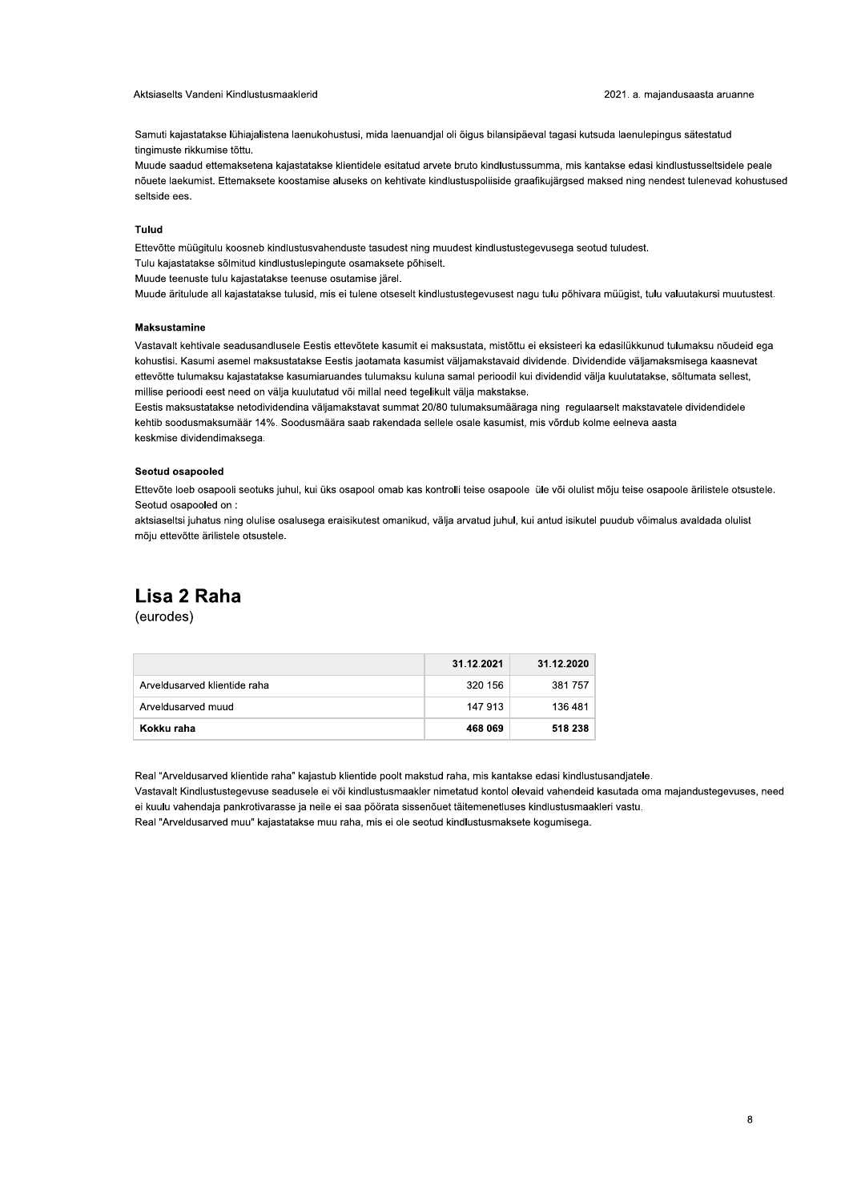#### Aktsiaselts Vandeni Kindlustusmaaklerid

Samuti kajastatakse lühiajalistena laenukohustusi, mida laenuandjal oli õigus bilansipäeval tagasi kutsuda laenulepingus sätestatud tingimuste rikkumise tõttu.

Muude saadud ettemaksetena kajastatakse klientidele esitatud arvete bruto kindlustussumma, mis kantakse edasi kindlustusseltsidele peale nõuete laekumist. Ettemaksete koostamise aluseks on kehtivate kindlustuspoliiside graafikujärgsed maksed ning nendest tulenevad kohustused seltside ees

# Tulud

Ettevõtte müügitulu koosneb kindlustusvahenduste tasudest ning muudest kindlustustegevusega seotud tuludest.

Tulu kajastatakse sõlmitud kindlustuslepingute osamaksete põhiselt.

Muude teenuste tulu kajastatakse teenuse osutamise järel.

Muude äritulude all kajastatakse tulusid, mis ei tulene otseselt kindlustustegevusest nagu tulu põhivara müügist, tulu valuutakursi muutustest.

### **Maksustamine**

Vastavalt kehtivale seadusandlusele Eestis ettevõtete kasumit ei maksustata, mistõttu ei eksisteeri ka edasilükkunud tulumaksu nõudeid ega kohustisi. Kasumi asemel maksustatakse Eestis jaotamata kasumist väljamakstavaid dividende. Dividendide väljamaksmisega kaasnevat ettevõtte tulumaksu kajastatakse kasumiaruandes tulumaksu kuluna samal perioodil kui dividendid välja kuulutatakse, sõltumata sellest, millise perioodi eest need on välja kuulutatud või millal need tegelikult välja makstakse.

Eestis maksustatakse netodividendina väljamakstavat summat 20/80 tulumaksumääraga ning regulaarselt makstavatele dividendidele kehtib soodusmaksumäär 14%. Soodusmäära saab rakendada sellele osale kasumist, mis võrdub kolme eelneva aasta keskmise dividendimaksega.

### Seotud osapooled

Ettevõte loeb osapooli seotuks juhul, kui üks osapool omab kas kontrolli teise osapoole üle või olulist mõju teise osapoole ärilistele otsustele. Seotud osapooled on :

aktsiaseltsi juhatus ning olulise osalusega eraisikutest omanikud, välja arvatud juhul, kui antud isikutel puudub võimalus avaldada olulist mõju ettevõtte ärilistele otsustele.

# Lisa 2 Raha

(eurodes)

|                              | 31.12.2021 | 31.12.2020 |
|------------------------------|------------|------------|
| Arveldusarved klientide raha | 320 156    | 381757     |
| Arveldusarved muud           | 147 913    | 136 481    |
| Kokku raha                   | 468 069    | 518 238    |

Real "Arveldusarved klientide raha" kajastub klientide poolt makstud raha, mis kantakse edasi kindlustusandjatele.

Vastavalt Kindlustustegevuse seadusele ei või kindlustusmaakler nimetatud kontol olevaid vahendeid kasutada oma majandustegevuses, need ei kuulu vahendaja pankrotivarasse ja neile ei saa pöörata sissenõuet täitemenetluses kindlustusmaakleri vastu.

Real "Arveldusarved muu" kajastatakse muu raha, mis ei ole seotud kindlustusmaksete kogumisega.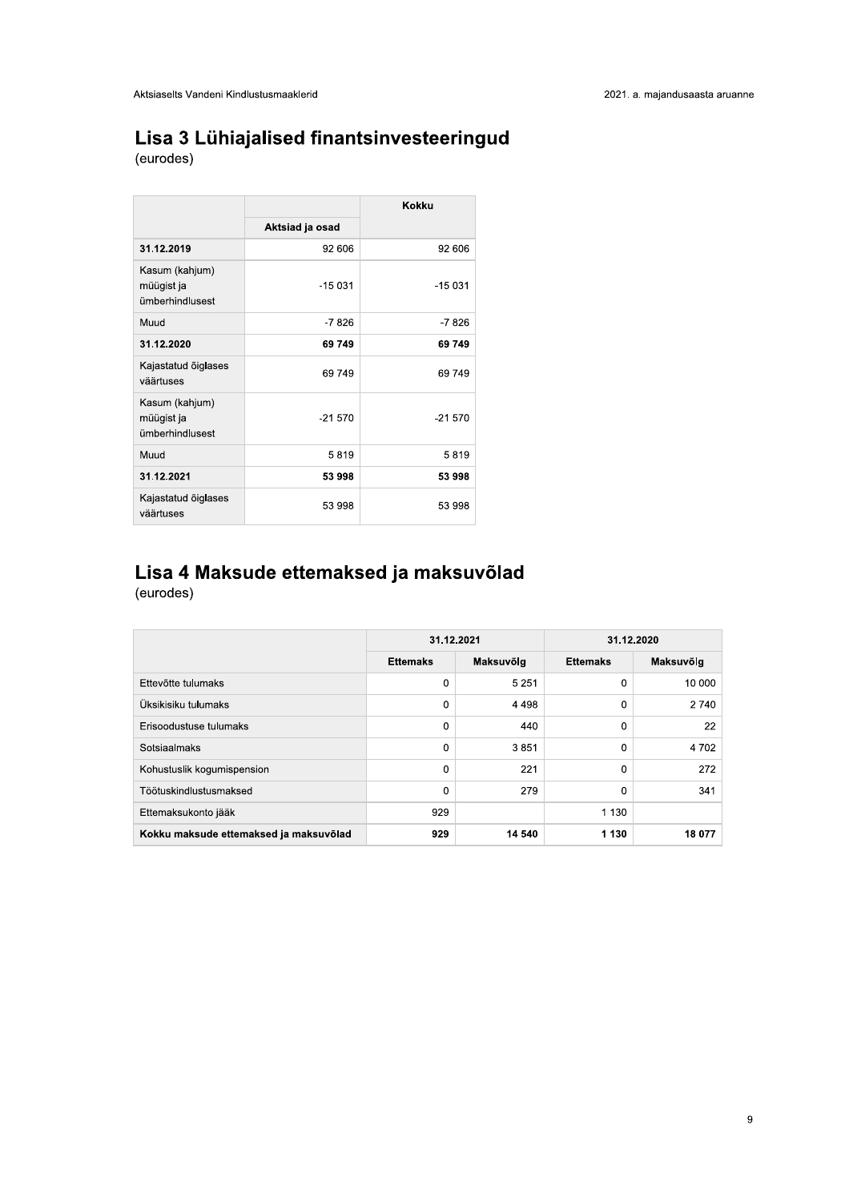# Lisa 3 Lühiajalised finantsinvesteeringud

(eurodes)

|                                                 |                 | Kokku    |
|-------------------------------------------------|-----------------|----------|
|                                                 | Aktsiad ja osad |          |
| 31.12.2019                                      | 92 606          | 92 606   |
| Kasum (kahjum)<br>müügist ja<br>ümberhindlusest | $-15031$        | $-15031$ |
| Muud                                            | $-7826$         | $-7826$  |
| 31.12.2020                                      | 69 749          | 69 749   |
| Kajastatud õiglases<br>väärtuses                | 69749           | 69749    |
| Kasum (kahjum)<br>müügist ja<br>ümberhindlusest | $-21570$        | $-21570$ |
| Muud                                            | 5819            | 5819     |
| 31.12.2021                                      | 53 998          | 53 998   |
| Kajastatud õiglases<br>väärtuses                | 53 998          | 53 998   |

# Lisa 4 Maksude ettemaksed ja maksuvõlad

(eurodes)

|                                        | 31.12.2021      |           | 31.12.2020      |           |
|----------------------------------------|-----------------|-----------|-----------------|-----------|
|                                        | <b>Ettemaks</b> | Maksuvõlg | <b>Ettemaks</b> | Maksuvõlg |
| Ettevõtte tulumaks                     | 0               | 5 2 5 1   | 0               | 10 000    |
| Üksikisiku tulumaks                    | $\Omega$        | 4 4 9 8   | 0               | 2 740     |
| Erisoodustuse tulumaks                 | 0               | 440       | 0               | 22        |
| Sotsiaalmaks                           | 0               | 3851      | 0               | 4 7 0 2   |
| Kohustuslik kogumispension             | $\Omega$        | 221       | 0               | 272       |
| Töötuskindlustusmaksed                 | $\Omega$        | 279       | 0               | 341       |
| Ettemaksukonto jääk                    | 929             |           | 1 1 3 0         |           |
| Kokku maksude ettemaksed ja maksuvõlad | 929             | 14 540    | 1 1 3 0         | 18 077    |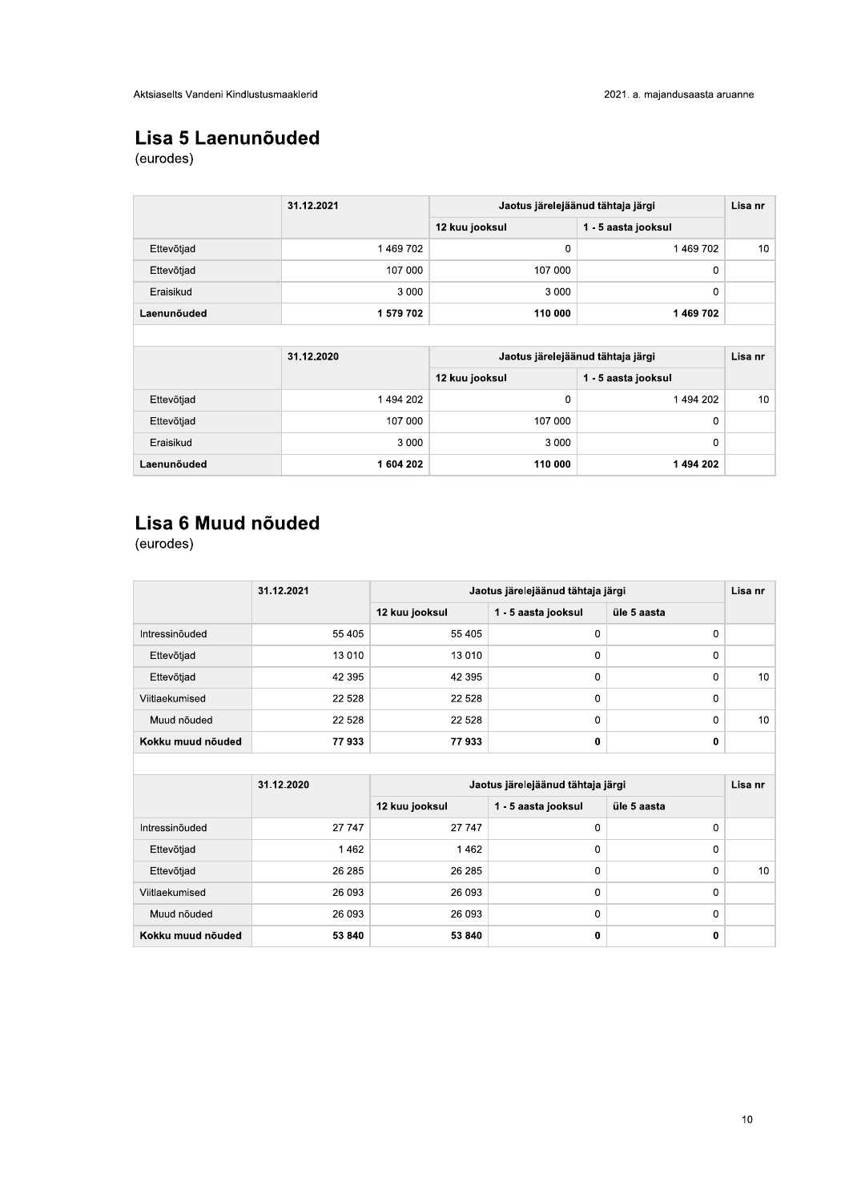# Lisa 5 Laenunõuded

(eurodes)

|             | 31.12.2021 |                | Jaotus järelejäänud tähtaja järgi | Lisa nr         |
|-------------|------------|----------------|-----------------------------------|-----------------|
|             |            | 12 kuu jooksul | 1 - 5 aasta jooksul               |                 |
| Ettevõtjad  | 1469702    | 0              | 1469702                           | 10 <sup>°</sup> |
| Ettevõtjad  | 107 000    | 107 000        | 0                                 |                 |
| Eraisikud   | 3 0 0 0    | 3 0 0 0        | $\mathbf 0$                       |                 |
| Laenunõuded | 1 579 702  | 110 000        | 1469702                           |                 |
|             |            |                |                                   |                 |
|             | 31.12.2020 |                | Jaotus järelejäänud tähtaja järgi | Lisa nr         |
|             |            | 12 kuu jooksul | 1 - 5 aasta jooksul               |                 |
| Ettevõtjad  | 1494202    | 0              | 1494 202                          | 10              |
| Ettevõtjad  | 107 000    | 107 000        | 0                                 |                 |
| Eraisikud   | 3 0 0 0    | 3 0 0 0        | $\mathbf 0$                       |                 |
| Laenunõuded | 1604 202   | 110 000        | 1494202                           |                 |

# Lisa 6 Muud nõuded

(eurodes)

|                   | 31.12.2021 |                | Jaotus järelejäänud tähtaja järgi |             | Lisa nr |
|-------------------|------------|----------------|-----------------------------------|-------------|---------|
|                   |            | 12 kuu jooksul | 1 - 5 aasta jooksul               | üle 5 aasta |         |
| Intressinõuded    | 55 405     | 55 405         | 0                                 | 0           |         |
| Ettevõtjad        | 13 0 10    | 13 010         | 0                                 | 0           |         |
| Ettevõtjad        | 42 395     | 42 395         | 0                                 | 0           | 10      |
| Viitlaekumised    | 22 5 28    | 22 5 28        | 0                                 | 0           |         |
| Muud nõuded       | 22 5 28    | 22 5 28        | $\mathbf 0$                       | $\Omega$    | 10      |
| Kokku muud nõuded | 77933      | 77933          | 0                                 | 0           |         |

|                   | 31.12.2020 |                | Jaotus järelejäänud tähtaja järgi |              | Lisa nr |
|-------------------|------------|----------------|-----------------------------------|--------------|---------|
|                   |            | 12 kuu jooksul | 1 - 5 aasta jooksul               | üle 5 aasta  |         |
| Intressinõuded    | 27 747     | 27 747         | 0                                 | 0            |         |
| Ettevõtjad        | 1462       | 1462           | 0                                 | 0            |         |
| Ettevõtjad        | 26 285     | 26 285         | 0                                 | $\Omega$     | 10      |
| Viitlaekumised    | 26 093     | 26 093         | 0                                 | $\mathbf{0}$ |         |
| Muud nõuded       | 26 093     | 26 093         | 0                                 | 0            |         |
| Kokku muud nõuded | 53 840     | 53 840         | 0                                 | 0            |         |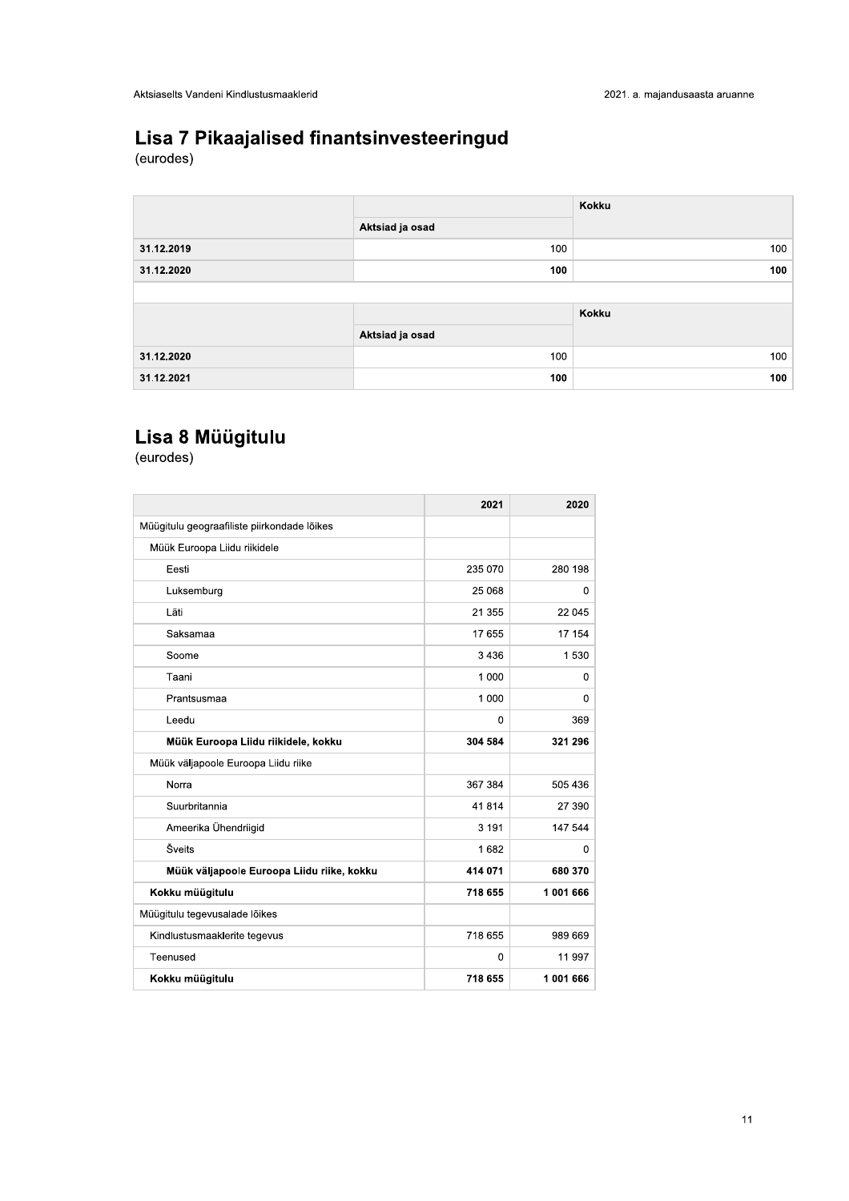| Aktsiaselts Vandeni Kindlustusmaaklerid<br>2021. a. majandusaasta aruanne<br>Kokku |
|------------------------------------------------------------------------------------|
| Lisa 7 Pikaajalised finantsinvesteeringud<br>(eurodes)                             |
|                                                                                    |
|                                                                                    |
| Aktsiad ja osad                                                                    |
| 31.12.2019<br>100                                                                  |
| 31.12.2020<br>100                                                                  |
| Kokku                                                                              |
| Aktsiad ja osad                                                                    |
| 31.12.2020<br>100                                                                  |
| 31.12.2021<br>100                                                                  |

|                                             | 2021        | 2020      |
|---------------------------------------------|-------------|-----------|
| Müügitulu geograafiliste piirkondade lõikes |             |           |
| Müük Euroopa Liidu riikidele                |             |           |
| Eesti                                       | 235 070     | 280 198   |
| Luksemburg                                  | 25 068      |           |
| Läti                                        | 21 355      | 22 045    |
| Saksamaa                                    | 17 655      | 17 154    |
| Soome                                       | 3 4 3 6     | 1 5 3 0   |
| Taani                                       | 1 0 0 0     |           |
| Prantsusmaa                                 | 1 0 0 0     |           |
| Leedu                                       | 0           | 369       |
| Müük Euroopa Liidu riikidele, kokku         | 304 584     | 321 296   |
| Müük väljapoole Euroopa Liidu riike         |             |           |
| Norra                                       | 367 384     | 505 436   |
| Suurbritannia                               | 41814       | 27 390    |
| Ameerika Ühendriigid                        | 3 1 9 1     | 147 544   |
| Šveits                                      | 1682        |           |
| Müük väljapoole Euroopa Liidu riike, kokku  | 414 071     | 680 370   |
| Kokku müügitulu                             | 718 655     | 1 001 666 |
|                                             |             |           |
| Müügitulu tegevusalade lõikes               |             |           |
| Kindlustusmaaklerite tegevus                | 718 655     | 989 669   |
| Teenused                                    | $\mathbf 0$ | 11 997    |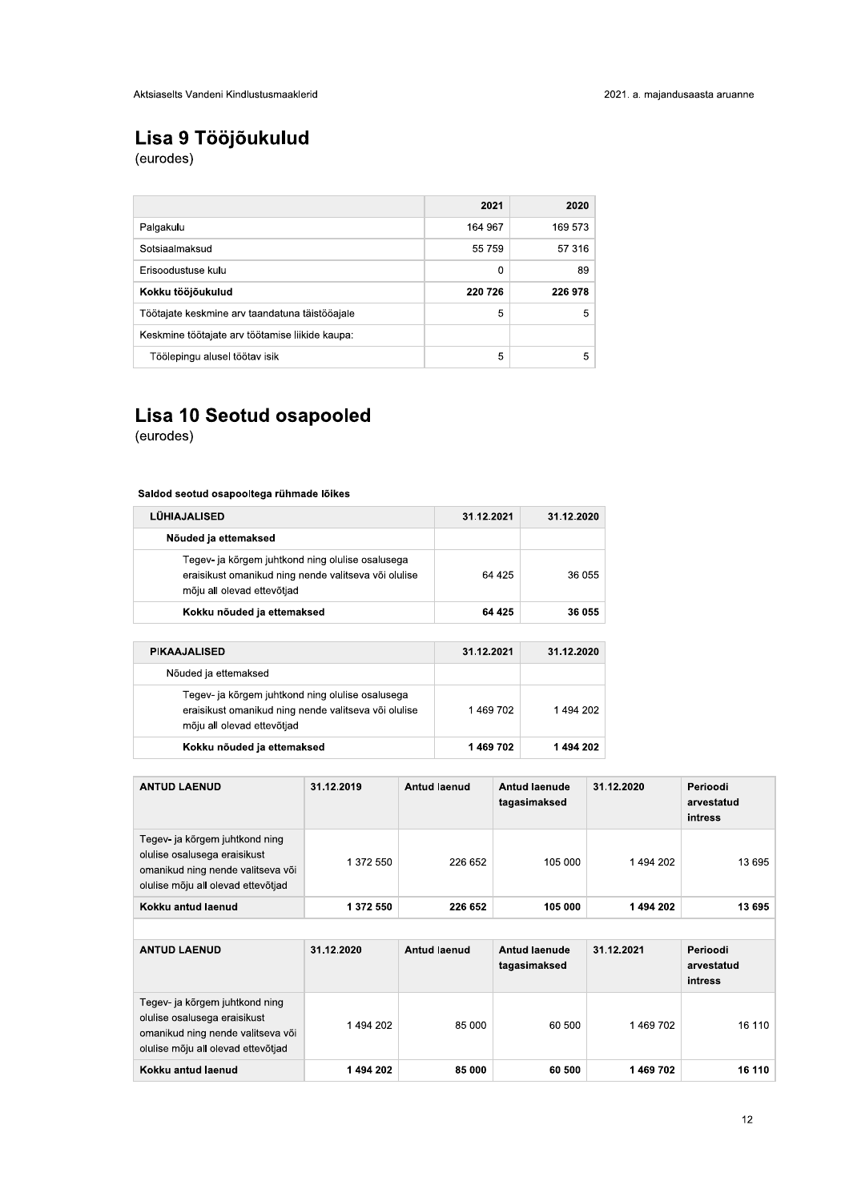# Lisa 9 Tööjõukulud<br>(eurodes)

|                                                 | 2021    | 2020    |
|-------------------------------------------------|---------|---------|
| Palgakulu                                       | 164 967 | 169 573 |
| Sotsiaalmaksud                                  | 55 759  | 57 316  |
| Frisoodustuse kulu                              | 0       | 89      |
| Kokku tööjõukulud                               | 220 726 | 226 978 |
| Töötajate keskmine arv taandatuna täistööajale  | 5       | 5       |
| Keskmine töötajate arv töötamise liikide kaupa: |         |         |
| Töölepingu alusel töötav isik                   | 5       | 5       |

# Lisa 10 Seotud osapooled

(eurodes)

# Saldod seotud osapooltega rühmade lõikes

| <b>LUHIAJALISED</b>                                                                                                                    | 31.12.2021 | 31.12.2020 |
|----------------------------------------------------------------------------------------------------------------------------------------|------------|------------|
| Nõuded ja ettemaksed                                                                                                                   |            |            |
| Tegev- ja kõrgem juhtkond ning olulise osalusega<br>eraisikust omanikud ning nende valitseva või olulise<br>mõju all olevad ettevõtjad | 64 425     | 36 055     |
| Kokku nõuded ja ettemaksed                                                                                                             | 64 425     | 36 055     |

| <b>PIKAAJALISED</b>                                                                                                                    | 31.12.2021 | 31.12.2020 |
|----------------------------------------------------------------------------------------------------------------------------------------|------------|------------|
| Nõuded ja ettemaksed                                                                                                                   |            |            |
| Tegev- ja kõrgem juhtkond ning olulise osalusega<br>eraisikust omanikud ning nende valitseva või olulise<br>mõju all olevad ettevõtjad | 1469702    | 1494202    |
| Kokku nõuded ja ettemaksed                                                                                                             | 1469702    | 1494202    |

| <b>ANTUD LAENUD</b>                                                                                                                       | 31.12.2019 | <b>Antud laenud</b> | Antud laenude<br>tagasimaksed | 31.12.2020 | Perioodi<br>arvestatud<br>intress |
|-------------------------------------------------------------------------------------------------------------------------------------------|------------|---------------------|-------------------------------|------------|-----------------------------------|
| Tegev- ja kõrgem juhtkond ning<br>olulise osalusega eraisikust<br>omanikud ning nende valitseva või<br>olulise mõju all olevad ettevõtjad | 1 372 550  | 226 652             | 105 000                       | 1494202    | 13 695                            |
| Kokku antud laenud                                                                                                                        | 1 372 550  | 226 652             | 105 000                       | 1494202    | 13 695                            |
|                                                                                                                                           |            |                     |                               |            |                                   |
| <b>ANTUD LAENUD</b>                                                                                                                       | 31.12.2020 | <b>Antud laenud</b> | Antud laenude                 | 31.12.2021 | Perioodi                          |
|                                                                                                                                           |            |                     | tagasimaksed                  |            | arvestatud<br>intress             |
| Tegev- ja kõrgem juhtkond ning<br>olulise osalusega eraisikust<br>omanikud ning nende valitseva või<br>olulise mõju all olevad ettevõtjad | 1494202    | 85 000              | 60 500                        | 1469702    | 16 110                            |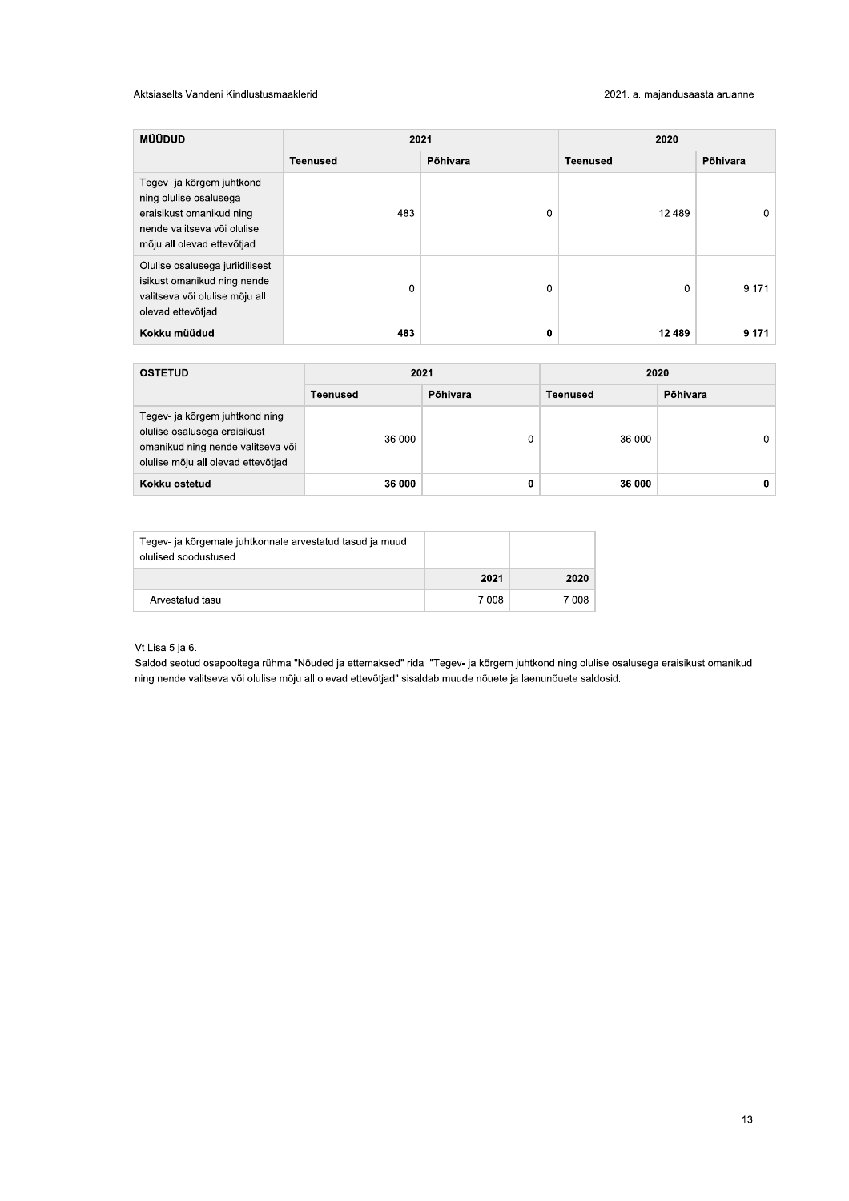# Aktsiaselts Vandeni Kindlustusmaaklerid

| MÜÜDUD                                                                                                                                       | 2021            |          | 2020            |          |
|----------------------------------------------------------------------------------------------------------------------------------------------|-----------------|----------|-----------------|----------|
|                                                                                                                                              | <b>Teenused</b> | Põhivara | <b>Teenused</b> | Põhivara |
| Tegev- ja kõrgem juhtkond<br>ning olulise osalusega<br>eraisikust omanikud ning<br>nende valitseva või olulise<br>mõju all olevad ettevõtjad | 483             | 0        | 12 489          | $\Omega$ |
| Olulise osalusega juriidilisest<br>isikust omanikud ning nende<br>valitseva või olulise mõju all<br>olevad ettevõtjad                        | 0               | 0        | 0               | 9 1 7 1  |
| Kokku müüdud                                                                                                                                 | 483             | 0        | 12 4 8 9        | 9 1 7 1  |

| <b>OSTETUD</b>                                                                                                                            | 2021     |          | 2020     |          |  |
|-------------------------------------------------------------------------------------------------------------------------------------------|----------|----------|----------|----------|--|
|                                                                                                                                           | Teenused | Põhivara | Teenused | Põhivara |  |
| Tegev- ja kõrgem juhtkond ning<br>olulise osalusega eraisikust<br>omanikud ning nende valitseva või<br>olulise mõju all olevad ettevõtjad | 36 000   | 0        | 36 000   | 0        |  |
| Kokku ostetud                                                                                                                             | 36 000   | 0        | 36 000   | 0        |  |

| Tegev- ja kõrgemale juhtkonnale arvestatud tasud ja muud<br>olulised soodustused |       |       |
|----------------------------------------------------------------------------------|-------|-------|
|                                                                                  | 2021  | 2020  |
| Arvestatud tasu                                                                  | 7 008 | 7 008 |

# Vt Lisa 5 ja 6.

Saldod seotud osapooltega rühma "Nõuded ja ettemaksed" rida "Tegev- ja kõrgem juhtkond ning olulise osalusega eraisikust omanikud ning nende valitseva või olulise mõju all olevad ettevõtjad" sisaldab muude nõuete ja laenunõuete saldosid.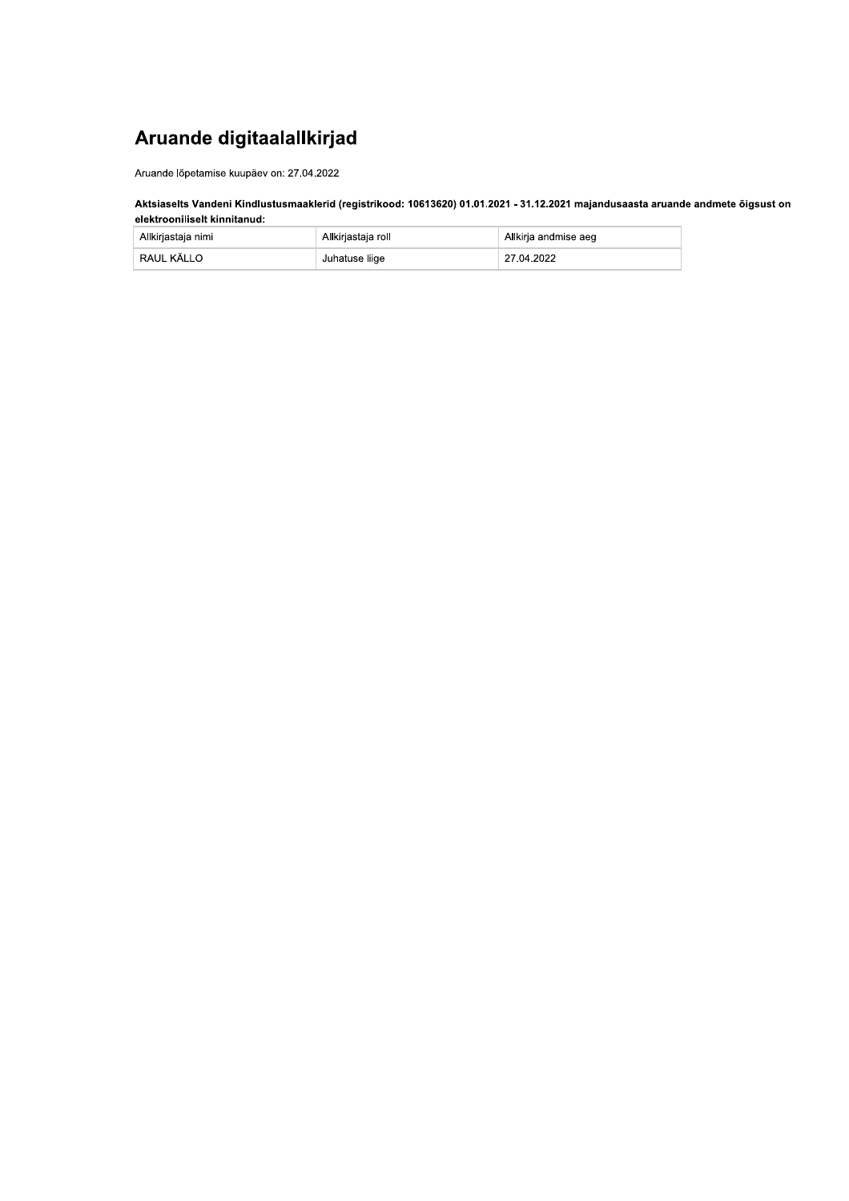# Aruande digitaalallkirjad

Aruande lõpetamise kuupäev on: 27.04.2022

# Aktsiaselts Vandeni Kindlustusmaaklerid (registrikood: 10613620) 01.01.2021 - 31.12.2021 majandusaasta aruande andmete õigsust on elektrooniliselt kinnitanud:

| Allkirjastaja nimi | Allkirjastaja roll | Allkirja andmise aeg |
|--------------------|--------------------|----------------------|
| RAUL KÄLLO         | Juhatuse liige     | 27.04.2022           |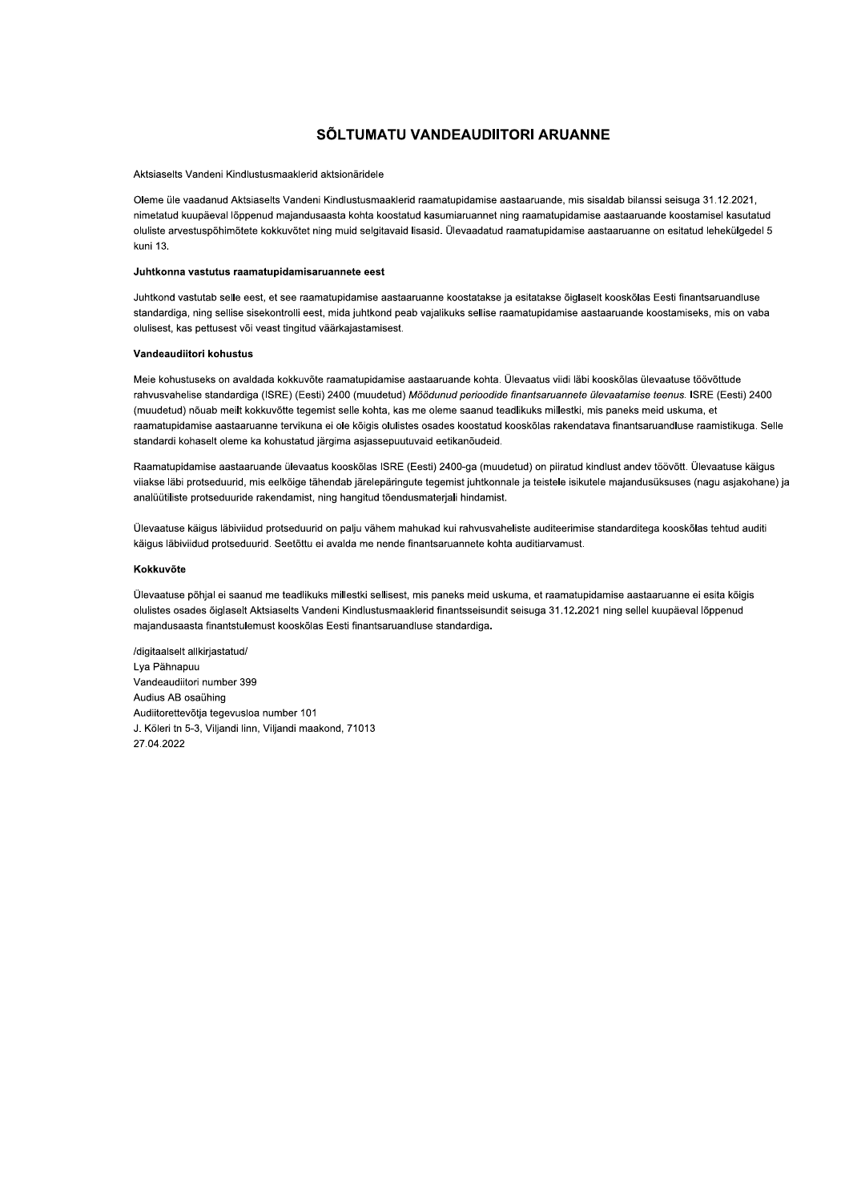# SÕLTUMATU VANDEAUDIITORI ARUANNE

#### Aktsiaselts Vandeni Kindlustusmaaklerid aktsionäridele

Oleme üle vaadanud Aktsiaselts Vandeni Kindlustusmaaklerid raamatupidamise aastaaruande, mis sisaldab bilanssi seisuga 31.12.2021, nimetatud kuupäeval lõppenud majandusaasta kohta koostatud kasumiaruannet ning raamatupidamise aastaaruande koostamisel kasutatud oluliste arvestuspõhimõtete kokkuvõtet ning muid selgitavaid lisasid. Ülevaadatud raamatupidamise aastaaruanne on esitatud lehekülgedel 5 kuni 13.

# Juhtkonna vastutus raamatupidamisaruannete eest

Juhtkond vastutab selle eest, et see raamatupidamise aastaaruanne koostatakse ja esitatakse õiglaselt kooskõlas Eesti finantsaruandluse standardiga, ning sellise sisekontrolli eest, mida juhtkond peab vajalikuks sellise raamatupidamise aastaaruande koostamiseks, mis on vaba olulisest, kas pettusest või veast tingitud väärkajastamisest.

## Vandeaudiitori kohustus

Meie kohustuseks on avaldada kokkuvõte raamatupidamise aastaaruande kohta. Ülevaatus viidi läbi kooskõlas ülevaatuse töövõttude rahvusvahelise standardiga (ISRE) (Eesti) 2400 (muudetud) Möödunud perioodide finantsaruannete ülevaatamise teenus. ISRE (Eesti) 2400 (muudetud) nõuab meilt kokkuvõtte tegemist selle kohta, kas me oleme saanud teadlikuks millestki, mis paneks meid uskuma, et raamatupidamise aastaaruanne tervikuna ei ole kõigis olulistes osades koostatud kooskõlas rakendatava finantsaruandluse raamistikuga. Selle standardi kohaselt oleme ka kohustatud järgima asjassepuutuvaid eetikanõudeid.

Raamatupidamise aastaaruande ülevaatus kooskõlas ISRE (Eesti) 2400-ga (muudetud) on piiratud kindlust andev töövõtt. Ülevaatuse käigus viiakse läbi protseduurid, mis eelkõige tähendab järelepäringute tegemist juhtkonnale ja teistele isikutele majandusüksuses (nagu asjakohane) ja analüütiliste protseduuride rakendamist, ning hangitud tõendusmaterjali hindamist.

Ülevaatuse käigus läbiviidud protseduurid on palju vähem mahukad kui rahvusvaheliste auditeerimise standarditega kooskõlas tehtud auditi käigus läbiviidud protseduurid. Seetõttu ei avalda me nende finantsaruannete kohta auditiarvamust.

# Kokkuvõte

Ülevaatuse põhjal ei saanud me teadlikuks millestki sellisest, mis paneks meid uskuma, et raamatupidamise aastaaruanne ei esita kõigis olulistes osades õiglaselt Aktsiaselts Vandeni Kindlustusmaaklerid finantsseisundit seisuga 31.12.2021 ning sellel kuupäeval lõppenud majandusaasta finantstulemust kooskõlas Eesti finantsaruandluse standardiga.

/digitaalselt allkirjastatud/ Lva Pähnapuu Vandeaudiitori number 399 Audius AB osaühing Audiitorettevõtja tegevusloa number 101 J. Köleri tn 5-3, Viljandi linn, Viljandi maakond, 71013 27.04.2022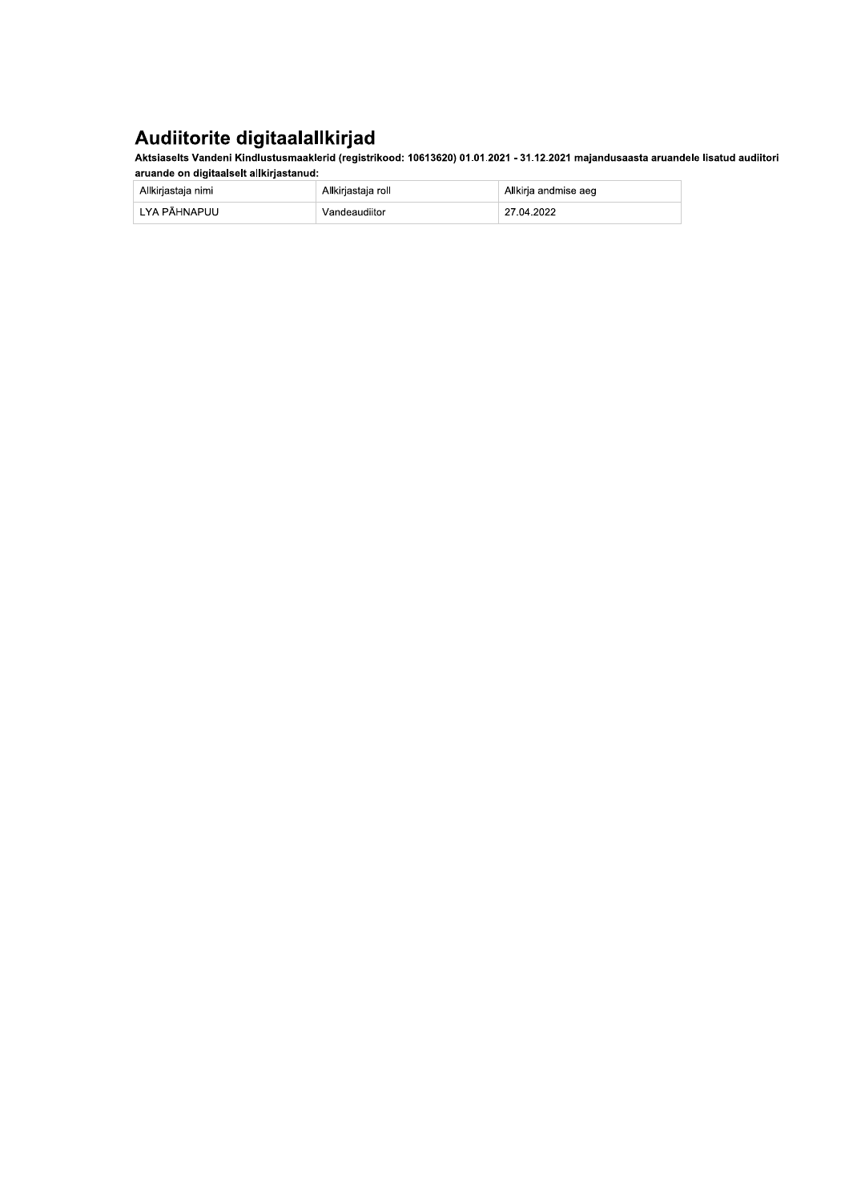Audiitorite digitaalallkirjad<br>Aktsiaselts Vandeni Kindlustusmaaklerid (registrikood: 10613620) 01.01.2021 - 31.12.2021 majandusaasta aruandele lisatud audiitori aruande on digitaalselt allkirjastanud:

| Allkirjastaja nimi | Allkirjastaja roll | Allkirja andmise aeg |
|--------------------|--------------------|----------------------|
| LYA PÄHNAPUU       | Vandeaudiitor      | 27.04.2022           |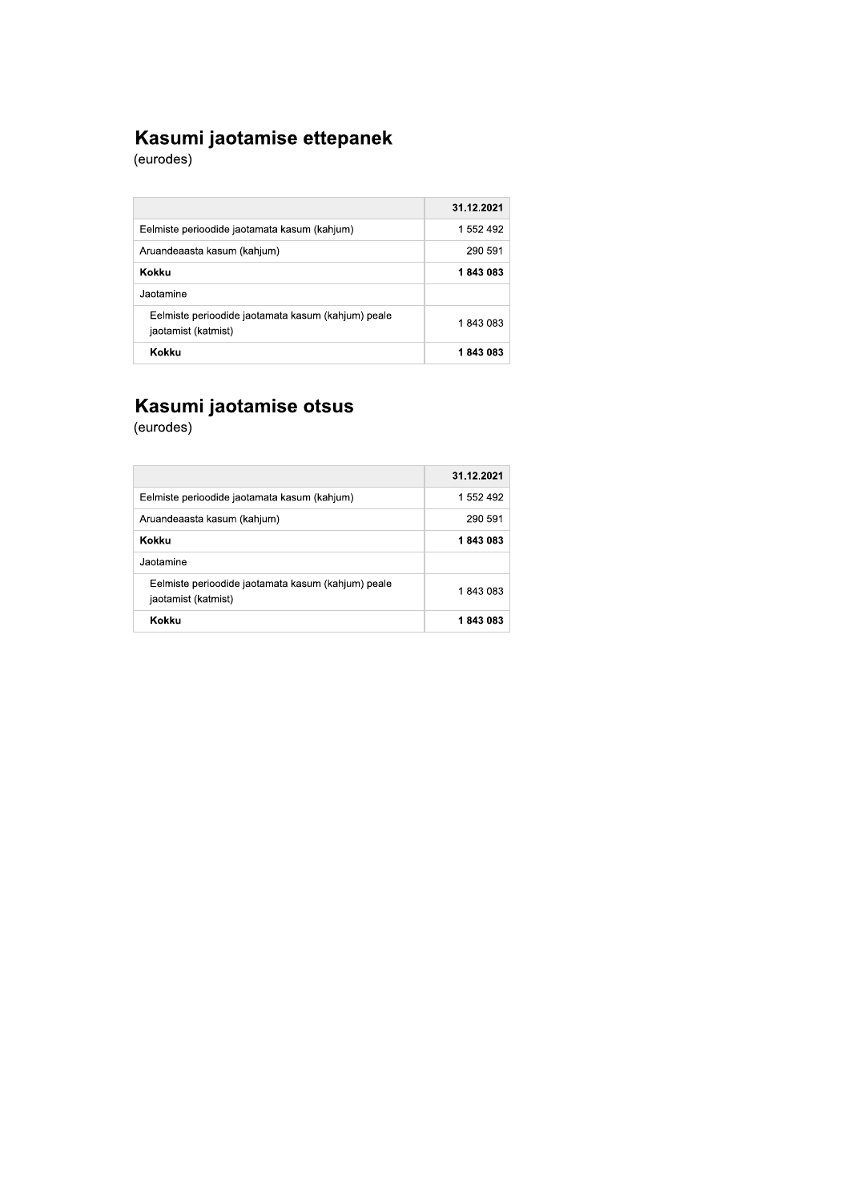# **Kasumi jaotamise ettepanek**<br>(eurodes)

|                                                                           | 31.12.2021 |
|---------------------------------------------------------------------------|------------|
| Eelmiste perioodide jaotamata kasum (kahjum)                              | 1 552 492  |
| Aruandeaasta kasum (kahjum)                                               | 290 591    |
| Kokku                                                                     | 1843083    |
| Jaotamine                                                                 |            |
| Eelmiste perioodide jaotamata kasum (kahjum) peale<br>jaotamist (katmist) | 1843083    |
| Kokku                                                                     | 1843083    |

# Kasumi jaotamise otsus<br>(eurodes)

|                                                                           | 31.12.2021 |
|---------------------------------------------------------------------------|------------|
| Eelmiste perioodide jaotamata kasum (kahjum)                              | 1 552 492  |
| Aruandeaasta kasum (kahjum)                                               | 290 591    |
| Kokku                                                                     | 1843083    |
| Jaotamine                                                                 |            |
| Eelmiste perioodide jaotamata kasum (kahjum) peale<br>jaotamist (katmist) | 1843083    |
| Kokku                                                                     | 1 843 083  |